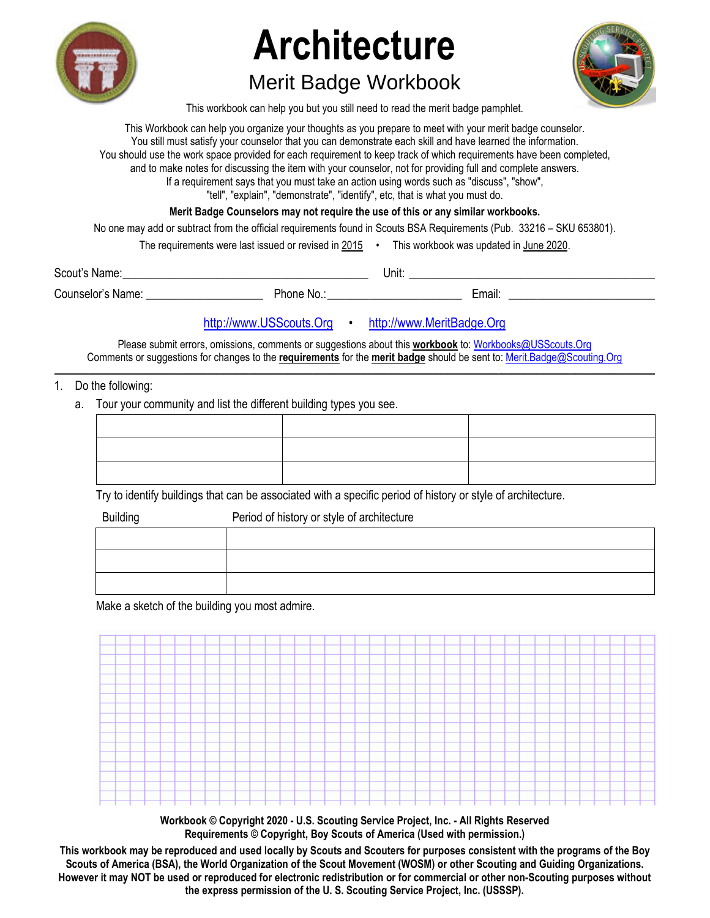

# **Architecture**

# Merit Badge Workbook



This workbook can help you but you still need to read the merit badge pamphlet.

This Workbook can help you organize your thoughts as you prepare to meet with your merit badge counselor. You still must satisfy your counselor that you can demonstrate each skill and have learned the information. You should use the work space provided for each requirement to keep track of which requirements have been completed, and to make notes for discussing the item with your counselor, not for providing full and complete answers. If a requirement says that you must take an action using words such as "discuss", "show", "tell", "explain", "demonstrate", "identify", etc, that is what you must do. **Merit Badge Counselors may not require the use of this or any similar workbooks.** No one may add or subtract from the official requirements found in Scouts BSA Requirements (Pub. 33216 – SKU 653801).

The requirements were last issued or revised in  $2015$  • This workbook was updated in June 2020.

Scout's Name: \_\_\_\_\_\_\_\_\_\_\_\_\_\_\_\_\_\_\_\_\_\_\_\_\_\_\_\_\_\_\_\_\_\_\_\_\_\_\_\_\_\_ Unit: \_\_\_\_\_\_\_\_\_\_\_\_\_\_\_\_\_\_\_\_\_\_\_\_\_\_\_\_\_\_\_\_\_\_\_\_\_\_\_\_\_\_

Counselor's Name: \_\_\_\_\_\_\_\_\_\_\_\_\_\_\_\_\_\_\_\_ Phone No.: \_\_\_\_\_\_\_\_\_\_\_\_\_\_\_\_\_\_\_\_\_\_\_ Email: \_\_\_\_\_\_\_\_\_\_\_\_\_\_\_\_\_\_\_\_\_\_\_\_\_

http://www.USScouts.Org • http://www.MeritBadge.Org

Please submit errors, omissions, comments or suggestions about this **workbook** to: Workbooks@USScouts.Org Comments or suggestions for changes to the **requirements** for the **merit badge** should be sent to: Merit.Badge@Scouting.Org *\_\_\_\_\_\_\_\_\_\_\_\_\_\_\_\_\_\_\_\_\_\_\_\_\_\_\_\_\_\_\_\_\_\_\_\_\_\_\_\_\_\_\_\_\_\_\_\_\_\_\_\_\_\_\_\_\_\_\_\_\_\_\_\_\_\_\_\_\_\_\_\_\_\_\_\_\_\_\_\_\_\_\_\_\_\_\_\_\_\_\_\_\_\_\_\_\_\_\_\_\_\_\_\_\_\_\_\_\_\_\_\_\_\_\_\_\_\_\_\_\_\_\_\_\_\_\_\_\_\_\_\_\_\_\_\_\_\_\_\_\_\_* 

- 1. Do the following:
	- a. Tour your community and list the different building types you see.

Try to identify buildings that can be associated with a specific period of history or style of architecture.

| <b>Building</b> | Period of history or style of architecture |
|-----------------|--------------------------------------------|
|                 |                                            |
|                 |                                            |
|                 |                                            |

Make a sketch of the building you most admire.



**Workbook © Copyright 2020 - U.S. Scouting Service Project, Inc. - All Rights Reserved Requirements © Copyright, Boy Scouts of America (Used with permission.)** 

**This workbook may be reproduced and used locally by Scouts and Scouters for purposes consistent with the programs of the Boy Scouts of America (BSA), the World Organization of the Scout Movement (WOSM) or other Scouting and Guiding Organizations. However it may NOT be used or reproduced for electronic redistribution or for commercial or other non-Scouting purposes without the express permission of the U. S. Scouting Service Project, Inc. (USSSP).**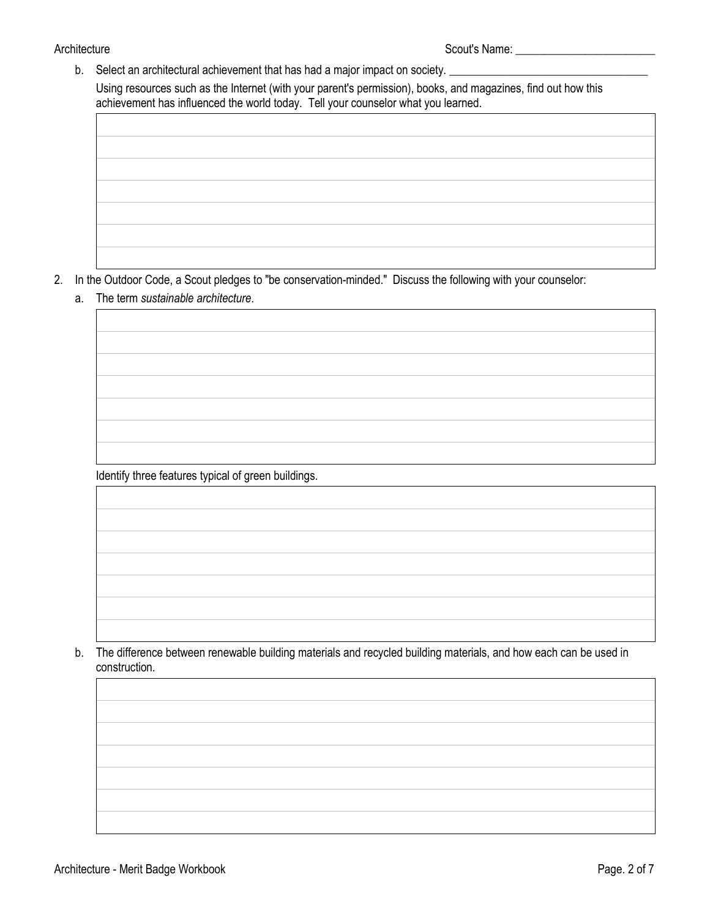b. Select an architectural achievement that has had a major impact on society. \_

Using resources such as the Internet (with your parent's permission), books, and magazines, find out how this achievement has influenced the world today. Tell your counselor what you learned.

- 2. In the Outdoor Code, a Scout pledges to "be conservation-minded." Discuss the following with your counselor:
	- a. The term *sustainable architecture*.

Identify three features typical of green buildings.

b. The difference between renewable building materials and recycled building materials, and how each can be used in construction.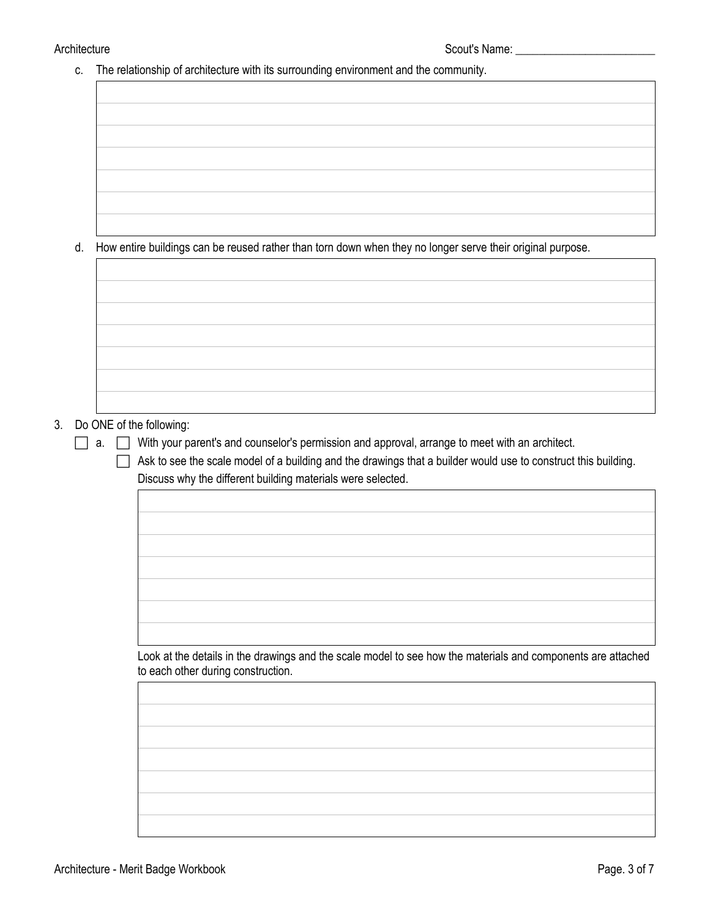c. The relationship of architecture with its surrounding environment and the community.

d. How entire buildings can be reused rather than torn down when they no longer serve their original purpose.

## 3. Do ONE of the following:

 $\Box$  a.  $\Box$  With your parent's and counselor's permission and approval, arrange to meet with an architect.

 $\Box$  Ask to see the scale model of a building and the drawings that a builder would use to construct this building. Discuss why the different building materials were selected.

Look at the details in the drawings and the scale model to see how the materials and components are attached to each other during construction.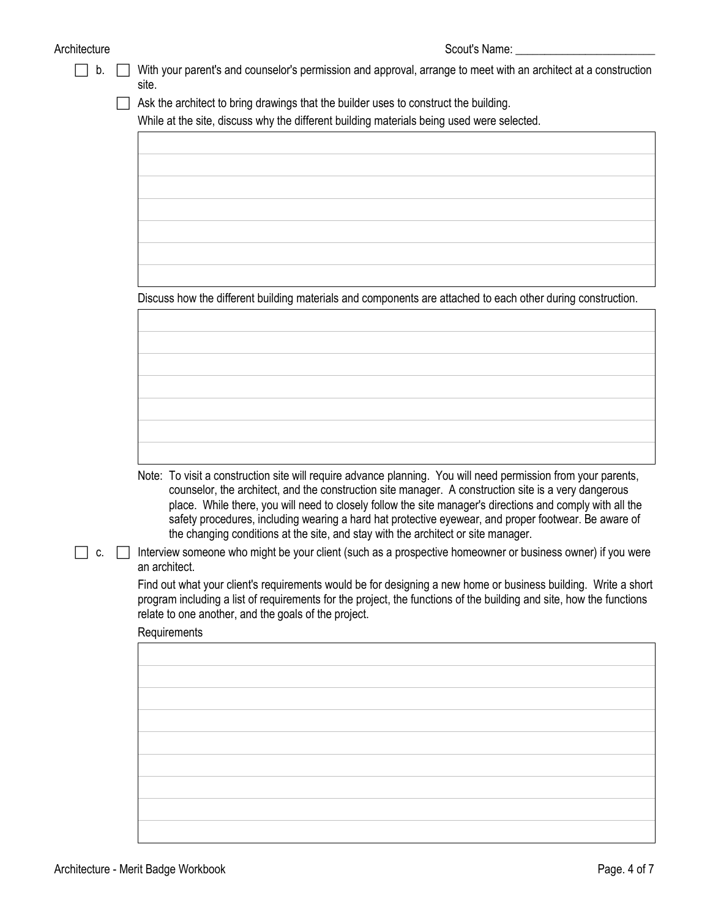# Architecture **Scout's Name:** Scout's Name: 2000

| b. | With your parent's and counselor's permission and approval, arrange to meet with an architect at a construction<br>site.                                                                                                                                                                                                                                                                                                                                                                                                        |
|----|---------------------------------------------------------------------------------------------------------------------------------------------------------------------------------------------------------------------------------------------------------------------------------------------------------------------------------------------------------------------------------------------------------------------------------------------------------------------------------------------------------------------------------|
|    | Ask the architect to bring drawings that the builder uses to construct the building.                                                                                                                                                                                                                                                                                                                                                                                                                                            |
|    | While at the site, discuss why the different building materials being used were selected.                                                                                                                                                                                                                                                                                                                                                                                                                                       |
|    |                                                                                                                                                                                                                                                                                                                                                                                                                                                                                                                                 |
|    |                                                                                                                                                                                                                                                                                                                                                                                                                                                                                                                                 |
|    |                                                                                                                                                                                                                                                                                                                                                                                                                                                                                                                                 |
|    |                                                                                                                                                                                                                                                                                                                                                                                                                                                                                                                                 |
|    |                                                                                                                                                                                                                                                                                                                                                                                                                                                                                                                                 |
|    |                                                                                                                                                                                                                                                                                                                                                                                                                                                                                                                                 |
|    |                                                                                                                                                                                                                                                                                                                                                                                                                                                                                                                                 |
|    |                                                                                                                                                                                                                                                                                                                                                                                                                                                                                                                                 |
|    | Discuss how the different building materials and components are attached to each other during construction.                                                                                                                                                                                                                                                                                                                                                                                                                     |
|    |                                                                                                                                                                                                                                                                                                                                                                                                                                                                                                                                 |
|    |                                                                                                                                                                                                                                                                                                                                                                                                                                                                                                                                 |
|    |                                                                                                                                                                                                                                                                                                                                                                                                                                                                                                                                 |
|    |                                                                                                                                                                                                                                                                                                                                                                                                                                                                                                                                 |
|    |                                                                                                                                                                                                                                                                                                                                                                                                                                                                                                                                 |
|    |                                                                                                                                                                                                                                                                                                                                                                                                                                                                                                                                 |
|    |                                                                                                                                                                                                                                                                                                                                                                                                                                                                                                                                 |
|    |                                                                                                                                                                                                                                                                                                                                                                                                                                                                                                                                 |
|    | Note: To visit a construction site will require advance planning. You will need permission from your parents,<br>counselor, the architect, and the construction site manager. A construction site is a very dangerous<br>place. While there, you will need to closely follow the site manager's directions and comply with all the<br>safety procedures, including wearing a hard hat protective eyewear, and proper footwear. Be aware of<br>the changing conditions at the site, and stay with the architect or site manager. |
| C. | Interview someone who might be your client (such as a prospective homeowner or business owner) if you were<br>an architect.                                                                                                                                                                                                                                                                                                                                                                                                     |
|    | Find out what your client's requirements would be for designing a new home or business building. Write a short<br>program including a list of requirements for the project, the functions of the building and site, how the functions<br>relate to one another, and the goals of the project.                                                                                                                                                                                                                                   |
|    | Requirements                                                                                                                                                                                                                                                                                                                                                                                                                                                                                                                    |
|    |                                                                                                                                                                                                                                                                                                                                                                                                                                                                                                                                 |
|    |                                                                                                                                                                                                                                                                                                                                                                                                                                                                                                                                 |
|    |                                                                                                                                                                                                                                                                                                                                                                                                                                                                                                                                 |
|    |                                                                                                                                                                                                                                                                                                                                                                                                                                                                                                                                 |
|    |                                                                                                                                                                                                                                                                                                                                                                                                                                                                                                                                 |
|    |                                                                                                                                                                                                                                                                                                                                                                                                                                                                                                                                 |
|    |                                                                                                                                                                                                                                                                                                                                                                                                                                                                                                                                 |
|    |                                                                                                                                                                                                                                                                                                                                                                                                                                                                                                                                 |
|    |                                                                                                                                                                                                                                                                                                                                                                                                                                                                                                                                 |
|    |                                                                                                                                                                                                                                                                                                                                                                                                                                                                                                                                 |
|    |                                                                                                                                                                                                                                                                                                                                                                                                                                                                                                                                 |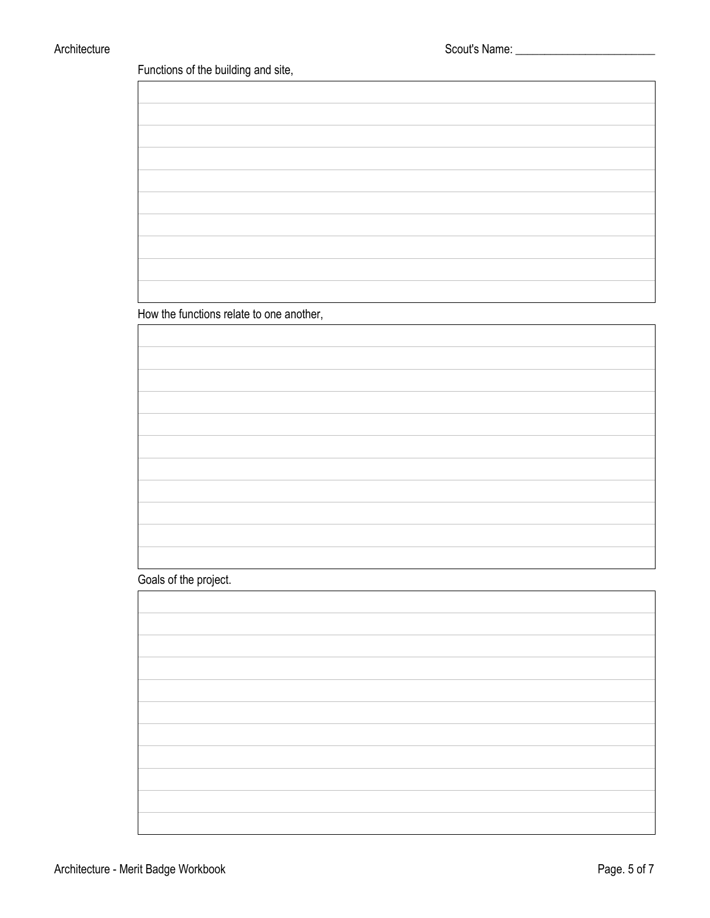Functions of the building and site,

How the functions relate to one another,

Goals of the project.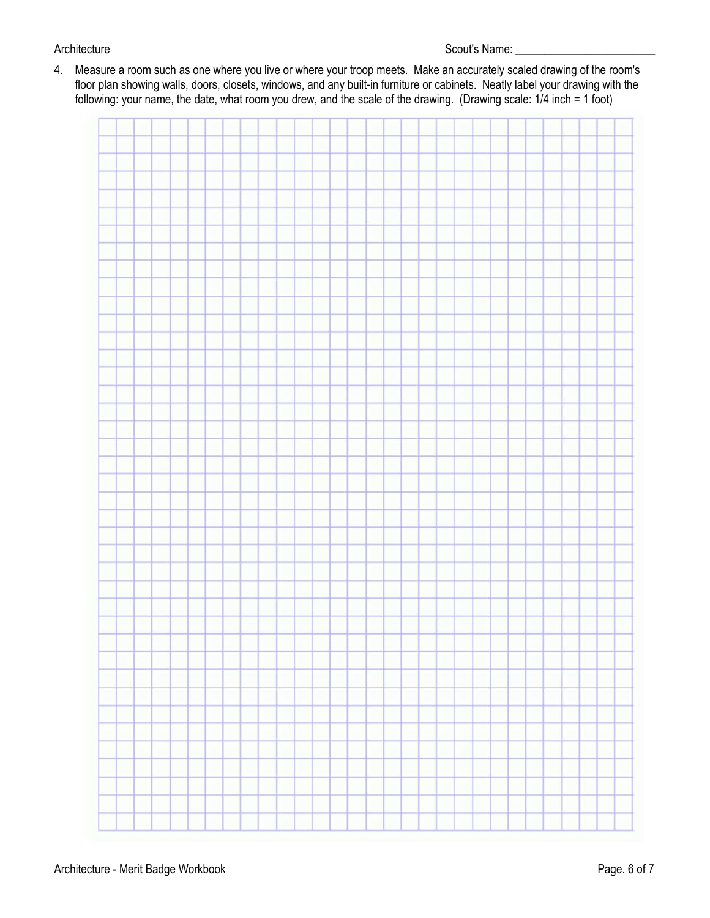4. Measure a room such as one where you live or where your troop meets. Make an accurately scaled drawing of the room's floor plan showing walls, doors, closets, windows, and any built-in furniture or cabinets. Neatly label your drawing with the following: your name, the date, what room you drew, and the scale of the drawing. (Drawing scale: 1/4 inch = 1 foot)

|   | <b>State</b> | ا سا<br><b>III</b> 1999 |   |  |             |        |   |   |   |    |   |  |  |
|---|--------------|-------------------------|---|--|-------------|--------|---|---|---|----|---|--|--|
|   |              |                         |   |  |             |        |   |   |   |    |   |  |  |
|   |              |                         |   |  |             |        |   |   |   |    |   |  |  |
|   |              |                         |   |  |             |        |   |   |   |    |   |  |  |
|   |              |                         |   |  |             |        |   |   |   |    |   |  |  |
|   |              |                         |   |  |             |        |   |   |   |    |   |  |  |
|   |              |                         |   |  |             |        |   |   |   |    |   |  |  |
|   |              |                         |   |  |             |        |   |   |   |    |   |  |  |
|   |              |                         |   |  |             |        |   |   |   |    |   |  |  |
|   |              |                         |   |  |             |        |   |   |   |    |   |  |  |
|   |              |                         |   |  |             |        |   |   |   |    |   |  |  |
|   |              |                         |   |  |             |        |   |   |   |    |   |  |  |
|   |              |                         |   |  |             |        |   |   |   |    |   |  |  |
|   |              |                         |   |  |             |        |   |   |   |    |   |  |  |
|   |              |                         |   |  | ٠           | n.     |   |   |   | T. |   |  |  |
|   |              |                         |   |  |             |        |   |   |   |    |   |  |  |
|   |              |                         |   |  |             |        |   |   |   |    |   |  |  |
|   |              |                         |   |  |             |        |   |   |   |    |   |  |  |
|   |              |                         |   |  |             |        |   |   |   |    |   |  |  |
|   |              |                         |   |  |             |        |   |   |   |    |   |  |  |
|   |              |                         |   |  |             |        |   |   |   |    |   |  |  |
|   |              |                         |   |  |             |        |   |   |   |    |   |  |  |
|   |              |                         |   |  |             |        |   |   |   |    |   |  |  |
|   |              |                         |   |  |             |        |   |   |   |    |   |  |  |
|   |              |                         |   |  |             |        |   |   |   |    |   |  |  |
|   |              |                         |   |  |             |        |   |   |   |    |   |  |  |
|   |              |                         |   |  |             |        |   |   |   |    |   |  |  |
|   |              |                         |   |  |             |        |   |   |   |    |   |  |  |
|   |              |                         |   |  |             |        |   |   |   |    |   |  |  |
|   |              |                         |   |  |             |        |   |   |   |    |   |  |  |
|   |              |                         |   |  |             |        |   |   |   |    |   |  |  |
|   |              |                         |   |  |             |        |   |   |   |    |   |  |  |
|   |              |                         |   |  |             |        |   |   |   |    |   |  |  |
|   |              |                         |   |  |             |        |   |   |   |    |   |  |  |
|   |              |                         |   |  |             |        |   |   |   |    |   |  |  |
|   |              |                         |   |  |             |        |   |   |   |    |   |  |  |
|   |              |                         |   |  |             |        |   |   |   |    |   |  |  |
|   |              |                         |   |  |             |        |   |   |   |    |   |  |  |
|   |              |                         |   |  |             |        |   |   |   |    |   |  |  |
|   |              |                         |   |  |             |        |   |   |   |    |   |  |  |
|   |              |                         |   |  |             |        |   |   |   |    |   |  |  |
|   |              |                         |   |  |             |        |   |   |   |    |   |  |  |
|   |              |                         |   |  |             |        |   |   |   |    |   |  |  |
|   |              |                         |   |  |             |        |   |   |   |    |   |  |  |
|   |              |                         |   |  |             |        |   |   |   |    |   |  |  |
| ۳ | П            | F                       | Г |  | Г<br>Ħ<br>۲ | F<br>Ħ | П | × | Ħ | r  | Ħ |  |  |
|   |              |                         |   |  |             |        |   |   |   |    |   |  |  |